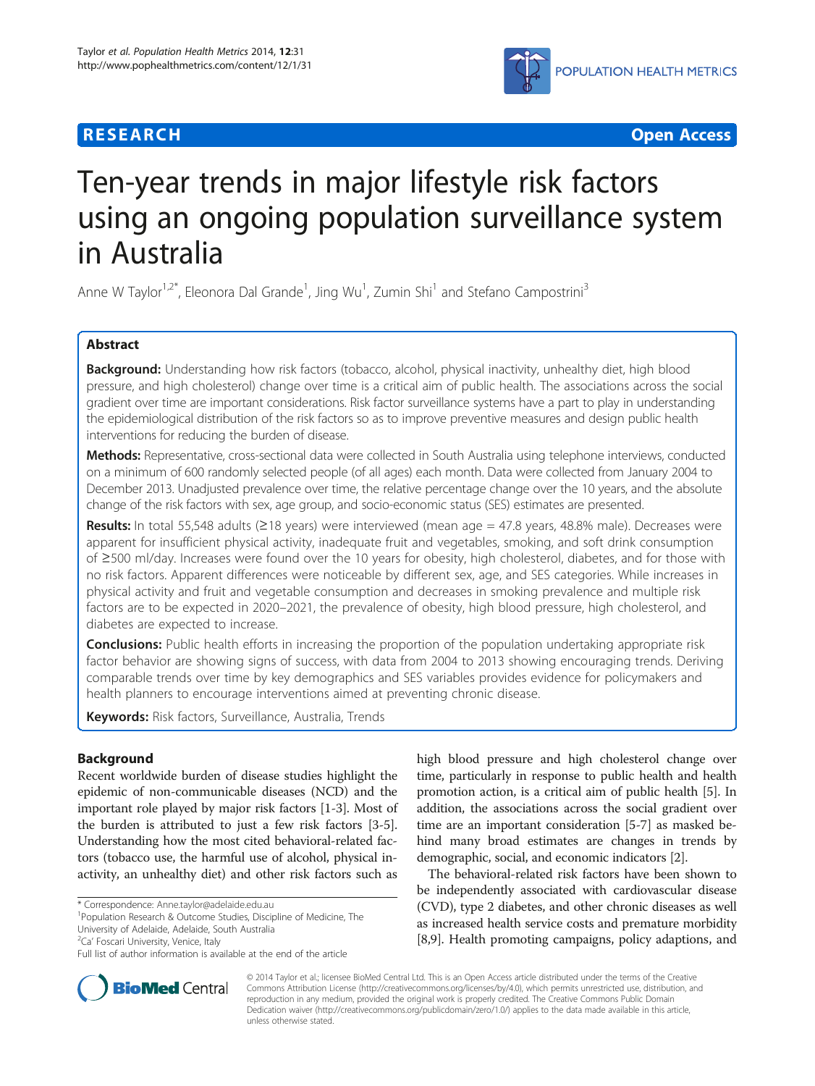# **RESEARCH CHEAR CHEAR CHEAR CHEAR CHEAR CHEAR CHEAR CHEAR CHEAR CHEAR CHEAR CHEAR CHEAR CHEAR CHEAR CHEAR CHEAR**



# Ten-year trends in major lifestyle risk factors using an ongoing population surveillance system in Australia

Anne W Taylor<sup>1,2\*</sup>, Eleonora Dal Grande<sup>1</sup>, Jing Wu<sup>1</sup>, Zumin Shi<sup>1</sup> and Stefano Campostrini<sup>3</sup>

# Abstract

Background: Understanding how risk factors (tobacco, alcohol, physical inactivity, unhealthy diet, high blood pressure, and high cholesterol) change over time is a critical aim of public health. The associations across the social gradient over time are important considerations. Risk factor surveillance systems have a part to play in understanding the epidemiological distribution of the risk factors so as to improve preventive measures and design public health interventions for reducing the burden of disease.

Methods: Representative, cross-sectional data were collected in South Australia using telephone interviews, conducted on a minimum of 600 randomly selected people (of all ages) each month. Data were collected from January 2004 to December 2013. Unadjusted prevalence over time, the relative percentage change over the 10 years, and the absolute change of the risk factors with sex, age group, and socio-economic status (SES) estimates are presented.

Results: In total 55,548 adults ( $\geq$ 18 years) were interviewed (mean age = 47.8 years, 48.8% male). Decreases were apparent for insufficient physical activity, inadequate fruit and vegetables, smoking, and soft drink consumption of ≥500 ml/day. Increases were found over the 10 years for obesity, high cholesterol, diabetes, and for those with no risk factors. Apparent differences were noticeable by different sex, age, and SES categories. While increases in physical activity and fruit and vegetable consumption and decreases in smoking prevalence and multiple risk factors are to be expected in 2020–2021, the prevalence of obesity, high blood pressure, high cholesterol, and diabetes are expected to increase.

**Conclusions:** Public health efforts in increasing the proportion of the population undertaking appropriate risk factor behavior are showing signs of success, with data from 2004 to 2013 showing encouraging trends. Deriving comparable trends over time by key demographics and SES variables provides evidence for policymakers and health planners to encourage interventions aimed at preventing chronic disease.

Keywords: Risk factors, Surveillance, Australia, Trends

# Background

Recent worldwide burden of disease studies highlight the epidemic of non-communicable diseases (NCD) and the important role played by major risk factors [\[1](#page-11-0)-[3](#page-11-0)]. Most of the burden is attributed to just a few risk factors [\[3](#page-11-0)-[5](#page-11-0)]. Understanding how the most cited behavioral-related factors (tobacco use, the harmful use of alcohol, physical inactivity, an unhealthy diet) and other risk factors such as

Population Research & Outcome Studies, Discipline of Medicine, The

University of Adelaide, Adelaide, South Australia

<sup>2</sup>Ca' Foscari University, Venice, Italy

high blood pressure and high cholesterol change over time, particularly in response to public health and health promotion action, is a critical aim of public health [[5](#page-11-0)]. In addition, the associations across the social gradient over time are an important consideration [\[5-7](#page-11-0)] as masked behind many broad estimates are changes in trends by demographic, social, and economic indicators [[2\]](#page-11-0).

The behavioral-related risk factors have been shown to be independently associated with cardiovascular disease (CVD), type 2 diabetes, and other chronic diseases as well as increased health service costs and premature morbidity [[8,9\]](#page-11-0). Health promoting campaigns, policy adaptions, and



© 2014 Taylor et al.; licensee BioMed Central Ltd. This is an Open Access article distributed under the terms of the Creative Commons Attribution License [\(http://creativecommons.org/licenses/by/4.0\)](http://creativecommons.org/licenses/by/4.0), which permits unrestricted use, distribution, and reproduction in any medium, provided the original work is properly credited. The Creative Commons Public Domain Dedication waiver [\(http://creativecommons.org/publicdomain/zero/1.0/](http://creativecommons.org/publicdomain/zero/1.0/)) applies to the data made available in this article, unless otherwise stated.

<sup>\*</sup> Correspondence: [Anne.taylor@adelaide.edu.au](mailto:Anne.taylor@adelaide.edu.au) <sup>1</sup>

Full list of author information is available at the end of the article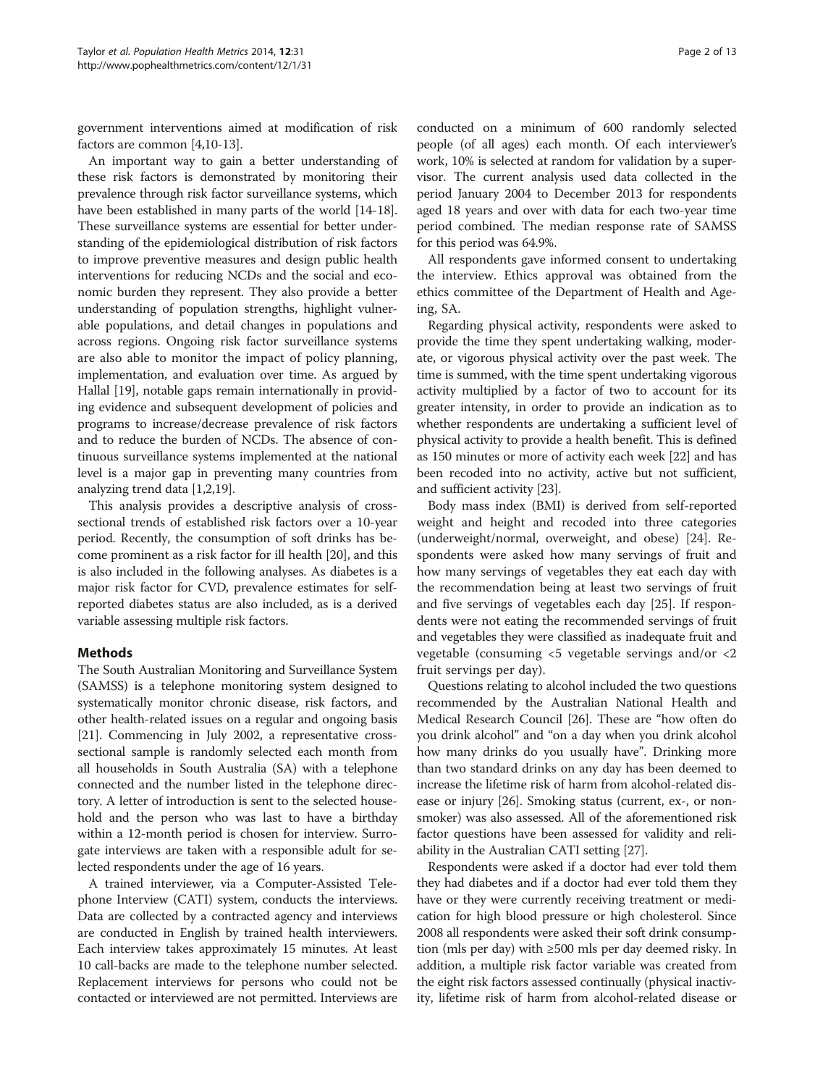government interventions aimed at modification of risk factors are common [[4](#page-11-0),[10](#page-11-0)-[13](#page-11-0)].

An important way to gain a better understanding of these risk factors is demonstrated by monitoring their prevalence through risk factor surveillance systems, which have been established in many parts of the world [[14](#page-11-0)-[18](#page-11-0)]. These surveillance systems are essential for better understanding of the epidemiological distribution of risk factors to improve preventive measures and design public health interventions for reducing NCDs and the social and economic burden they represent. They also provide a better understanding of population strengths, highlight vulnerable populations, and detail changes in populations and across regions. Ongoing risk factor surveillance systems are also able to monitor the impact of policy planning, implementation, and evaluation over time. As argued by Hallal [\[19](#page-11-0)], notable gaps remain internationally in providing evidence and subsequent development of policies and programs to increase/decrease prevalence of risk factors and to reduce the burden of NCDs. The absence of continuous surveillance systems implemented at the national level is a major gap in preventing many countries from analyzing trend data [\[1,2,19\]](#page-11-0).

This analysis provides a descriptive analysis of crosssectional trends of established risk factors over a 10-year period. Recently, the consumption of soft drinks has become prominent as a risk factor for ill health [\[20\]](#page-11-0), and this is also included in the following analyses. As diabetes is a major risk factor for CVD, prevalence estimates for selfreported diabetes status are also included, as is a derived variable assessing multiple risk factors.

# Methods

The South Australian Monitoring and Surveillance System (SAMSS) is a telephone monitoring system designed to systematically monitor chronic disease, risk factors, and other health-related issues on a regular and ongoing basis [[21](#page-11-0)]. Commencing in July 2002, a representative crosssectional sample is randomly selected each month from all households in South Australia (SA) with a telephone connected and the number listed in the telephone directory. A letter of introduction is sent to the selected household and the person who was last to have a birthday within a 12-month period is chosen for interview. Surrogate interviews are taken with a responsible adult for selected respondents under the age of 16 years.

A trained interviewer, via a Computer-Assisted Telephone Interview (CATI) system, conducts the interviews. Data are collected by a contracted agency and interviews are conducted in English by trained health interviewers. Each interview takes approximately 15 minutes. At least 10 call-backs are made to the telephone number selected. Replacement interviews for persons who could not be contacted or interviewed are not permitted. Interviews are

conducted on a minimum of 600 randomly selected people (of all ages) each month. Of each interviewer's work, 10% is selected at random for validation by a supervisor. The current analysis used data collected in the period January 2004 to December 2013 for respondents aged 18 years and over with data for each two-year time period combined. The median response rate of SAMSS for this period was 64.9%.

All respondents gave informed consent to undertaking the interview. Ethics approval was obtained from the ethics committee of the Department of Health and Ageing, SA.

Regarding physical activity, respondents were asked to provide the time they spent undertaking walking, moderate, or vigorous physical activity over the past week. The time is summed, with the time spent undertaking vigorous activity multiplied by a factor of two to account for its greater intensity, in order to provide an indication as to whether respondents are undertaking a sufficient level of physical activity to provide a health benefit. This is defined as 150 minutes or more of activity each week [\[22\]](#page-11-0) and has been recoded into no activity, active but not sufficient, and sufficient activity [\[23](#page-11-0)].

Body mass index (BMI) is derived from self-reported weight and height and recoded into three categories (underweight/normal, overweight, and obese) [[24](#page-11-0)]. Respondents were asked how many servings of fruit and how many servings of vegetables they eat each day with the recommendation being at least two servings of fruit and five servings of vegetables each day [[25](#page-11-0)]. If respondents were not eating the recommended servings of fruit and vegetables they were classified as inadequate fruit and vegetable (consuming <5 vegetable servings and/or <2 fruit servings per day).

Questions relating to alcohol included the two questions recommended by the Australian National Health and Medical Research Council [\[26\]](#page-11-0). These are "how often do you drink alcohol" and "on a day when you drink alcohol how many drinks do you usually have". Drinking more than two standard drinks on any day has been deemed to increase the lifetime risk of harm from alcohol-related disease or injury [\[26\]](#page-11-0). Smoking status (current, ex-, or nonsmoker) was also assessed. All of the aforementioned risk factor questions have been assessed for validity and reliability in the Australian CATI setting [[27](#page-11-0)].

Respondents were asked if a doctor had ever told them they had diabetes and if a doctor had ever told them they have or they were currently receiving treatment or medication for high blood pressure or high cholesterol. Since 2008 all respondents were asked their soft drink consumption (mls per day) with ≥500 mls per day deemed risky. In addition, a multiple risk factor variable was created from the eight risk factors assessed continually (physical inactivity, lifetime risk of harm from alcohol-related disease or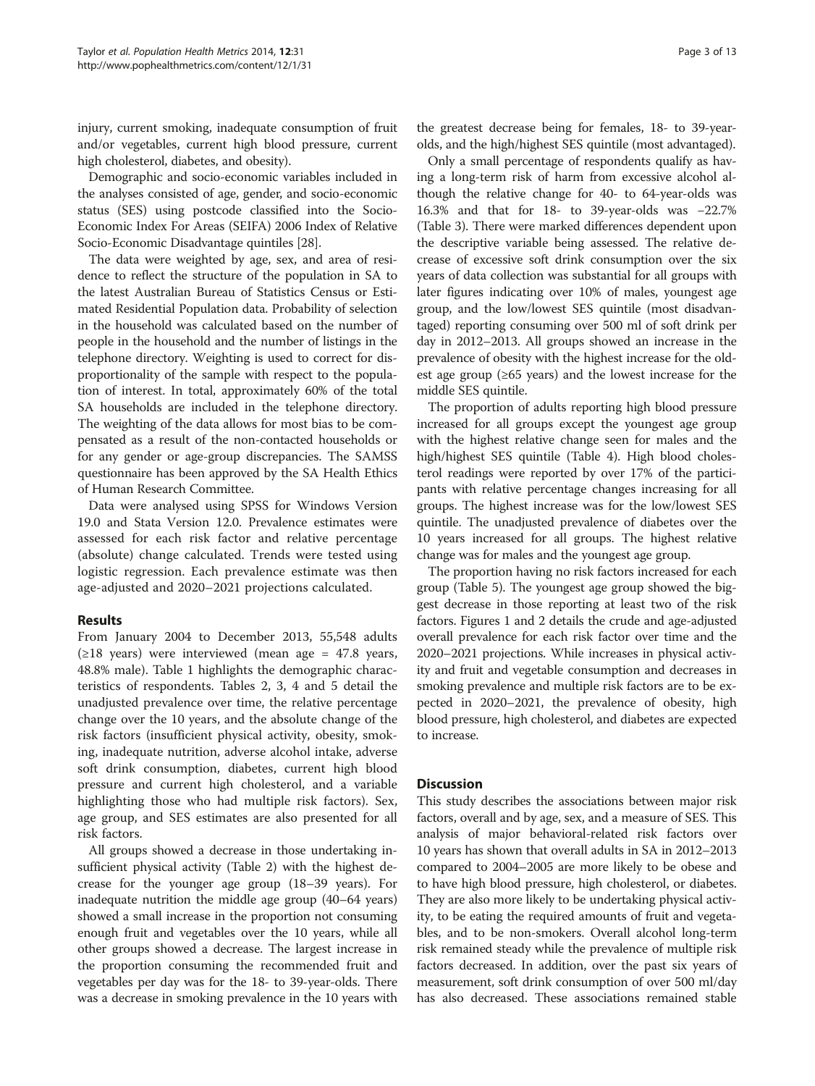injury, current smoking, inadequate consumption of fruit and/or vegetables, current high blood pressure, current high cholesterol, diabetes, and obesity).

Demographic and socio-economic variables included in the analyses consisted of age, gender, and socio-economic status (SES) using postcode classified into the Socio-Economic Index For Areas (SEIFA) 2006 Index of Relative Socio-Economic Disadvantage quintiles [\[28\]](#page-11-0).

The data were weighted by age, sex, and area of residence to reflect the structure of the population in SA to the latest Australian Bureau of Statistics Census or Estimated Residential Population data. Probability of selection in the household was calculated based on the number of people in the household and the number of listings in the telephone directory. Weighting is used to correct for disproportionality of the sample with respect to the population of interest. In total, approximately 60% of the total SA households are included in the telephone directory. The weighting of the data allows for most bias to be compensated as a result of the non-contacted households or for any gender or age-group discrepancies. The SAMSS questionnaire has been approved by the SA Health Ethics of Human Research Committee.

Data were analysed using SPSS for Windows Version 19.0 and Stata Version 12.0. Prevalence estimates were assessed for each risk factor and relative percentage (absolute) change calculated. Trends were tested using logistic regression. Each prevalence estimate was then age-adjusted and 2020–2021 projections calculated.

# Results

From January 2004 to December 2013, 55,548 adults  $(\geq 18$  years) were interviewed (mean age = 47.8 years, 48.8% male). Table [1](#page-3-0) highlights the demographic characteristics of respondents. Tables [2,](#page-4-0) [3](#page-6-0), [4](#page-7-0) and [5](#page-8-0) detail the unadjusted prevalence over time, the relative percentage change over the 10 years, and the absolute change of the risk factors (insufficient physical activity, obesity, smoking, inadequate nutrition, adverse alcohol intake, adverse soft drink consumption, diabetes, current high blood pressure and current high cholesterol, and a variable highlighting those who had multiple risk factors). Sex, age group, and SES estimates are also presented for all risk factors.

All groups showed a decrease in those undertaking insufficient physical activity (Table [2](#page-4-0)) with the highest decrease for the younger age group (18–39 years). For inadequate nutrition the middle age group (40–64 years) showed a small increase in the proportion not consuming enough fruit and vegetables over the 10 years, while all other groups showed a decrease. The largest increase in the proportion consuming the recommended fruit and vegetables per day was for the 18- to 39-year-olds. There was a decrease in smoking prevalence in the 10 years with

the greatest decrease being for females, 18- to 39-yearolds, and the high/highest SES quintile (most advantaged).

Only a small percentage of respondents qualify as having a long-term risk of harm from excessive alcohol although the relative change for 40- to 64-year-olds was 16.3% and that for 18- to 39-year-olds was −22.7% (Table [3](#page-6-0)). There were marked differences dependent upon the descriptive variable being assessed. The relative decrease of excessive soft drink consumption over the six years of data collection was substantial for all groups with later figures indicating over 10% of males, youngest age group, and the low/lowest SES quintile (most disadvantaged) reporting consuming over 500 ml of soft drink per day in 2012–2013. All groups showed an increase in the prevalence of obesity with the highest increase for the oldest age group  $(≥65 \text{ years})$  and the lowest increase for the middle SES quintile.

The proportion of adults reporting high blood pressure increased for all groups except the youngest age group with the highest relative change seen for males and the high/highest SES quintile (Table [4](#page-7-0)). High blood cholesterol readings were reported by over 17% of the participants with relative percentage changes increasing for all groups. The highest increase was for the low/lowest SES quintile. The unadjusted prevalence of diabetes over the 10 years increased for all groups. The highest relative change was for males and the youngest age group.

The proportion having no risk factors increased for each group (Table [5](#page-8-0)). The youngest age group showed the biggest decrease in those reporting at least two of the risk factors. Figures [1](#page-9-0) and [2](#page-9-0) details the crude and age-adjusted overall prevalence for each risk factor over time and the 2020–2021 projections. While increases in physical activity and fruit and vegetable consumption and decreases in smoking prevalence and multiple risk factors are to be expected in 2020–2021, the prevalence of obesity, high blood pressure, high cholesterol, and diabetes are expected to increase.

### **Discussion**

This study describes the associations between major risk factors, overall and by age, sex, and a measure of SES. This analysis of major behavioral-related risk factors over 10 years has shown that overall adults in SA in 2012–2013 compared to 2004–2005 are more likely to be obese and to have high blood pressure, high cholesterol, or diabetes. They are also more likely to be undertaking physical activity, to be eating the required amounts of fruit and vegetables, and to be non-smokers. Overall alcohol long-term risk remained steady while the prevalence of multiple risk factors decreased. In addition, over the past six years of measurement, soft drink consumption of over 500 ml/day has also decreased. These associations remained stable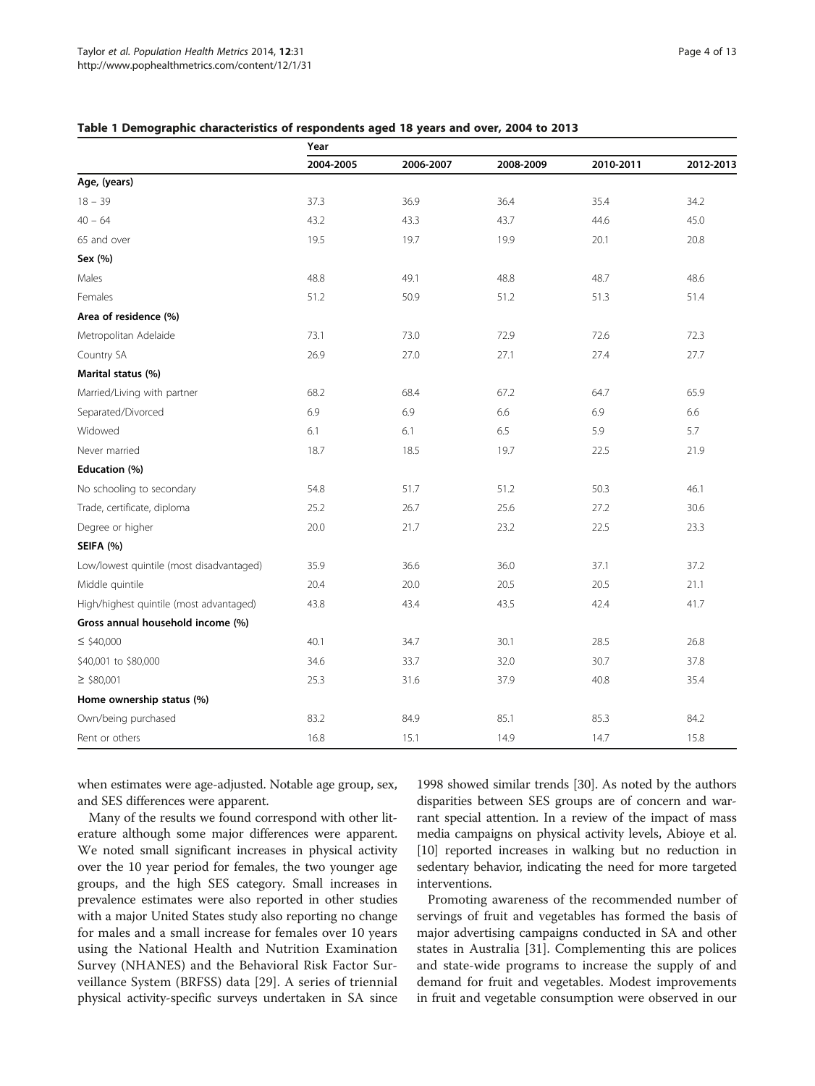|                                          | Year      |           |           |           |           |  |
|------------------------------------------|-----------|-----------|-----------|-----------|-----------|--|
|                                          | 2004-2005 | 2006-2007 | 2008-2009 | 2010-2011 | 2012-2013 |  |
| Age, (years)                             |           |           |           |           |           |  |
| $18 - 39$                                | 37.3      | 36.9      | 36.4      | 35.4      | 34.2      |  |
| $40 - 64$                                | 43.2      | 43.3      | 43.7      | 44.6      | 45.0      |  |
| 65 and over                              | 19.5      | 19.7      | 19.9      | 20.1      | 20.8      |  |
| Sex (%)                                  |           |           |           |           |           |  |
| Males                                    | 48.8      | 49.1      | 48.8      | 48.7      | 48.6      |  |
| Females                                  | 51.2      | 50.9      | 51.2      | 51.3      | 51.4      |  |
| Area of residence (%)                    |           |           |           |           |           |  |
| Metropolitan Adelaide                    | 73.1      | 73.0      | 72.9      | 72.6      | 72.3      |  |
| Country SA                               | 26.9      | 27.0      | 27.1      | 27.4      | 27.7      |  |
| Marital status (%)                       |           |           |           |           |           |  |
| Married/Living with partner              | 68.2      | 68.4      | 67.2      | 64.7      | 65.9      |  |
| Separated/Divorced                       | 6.9       | 6.9       | 6.6       | 6.9       | 6.6       |  |
| Widowed                                  | 6.1       | 6.1       | 6.5       | 5.9       | 5.7       |  |
| Never married                            | 18.7      | 18.5      | 19.7      | 22.5      | 21.9      |  |
| Education (%)                            |           |           |           |           |           |  |
| No schooling to secondary                | 54.8      | 51.7      | 51.2      | 50.3      | 46.1      |  |
| Trade, certificate, diploma              | 25.2      | 26.7      | 25.6      | 27.2      | 30.6      |  |
| Degree or higher                         | 20.0      | 21.7      | 23.2      | 22.5      | 23.3      |  |
| SEIFA (%)                                |           |           |           |           |           |  |
| Low/lowest quintile (most disadvantaged) | 35.9      | 36.6      | 36.0      | 37.1      | 37.2      |  |
| Middle quintile                          | 20.4      | 20.0      | 20.5      | 20.5      | 21.1      |  |
| High/highest quintile (most advantaged)  | 43.8      | 43.4      | 43.5      | 42.4      | 41.7      |  |
| Gross annual household income (%)        |           |           |           |           |           |  |
| $\leq$ \$40,000                          | 40.1      | 34.7      | 30.1      | 28.5      | 26.8      |  |
| \$40,001 to \$80,000                     | 34.6      | 33.7      | 32.0      | 30.7      | 37.8      |  |
| $\geq$ \$80,001                          | 25.3      | 31.6      | 37.9      | 40.8      | 35.4      |  |
| Home ownership status (%)                |           |           |           |           |           |  |
| Own/being purchased                      | 83.2      | 84.9      | 85.1      | 85.3      | 84.2      |  |
| Rent or others                           | 16.8      | 15.1      | 14.9      | 14.7      | 15.8      |  |

#### <span id="page-3-0"></span>Table 1 Demographic characteristics of respondents aged 18 years and over, 2004 to 2013

when estimates were age-adjusted. Notable age group, sex, and SES differences were apparent.

Many of the results we found correspond with other literature although some major differences were apparent. We noted small significant increases in physical activity over the 10 year period for females, the two younger age groups, and the high SES category. Small increases in prevalence estimates were also reported in other studies with a major United States study also reporting no change for males and a small increase for females over 10 years using the National Health and Nutrition Examination Survey (NHANES) and the Behavioral Risk Factor Surveillance System (BRFSS) data [\[29](#page-11-0)]. A series of triennial physical activity-specific surveys undertaken in SA since

1998 showed similar trends [\[30\]](#page-11-0). As noted by the authors disparities between SES groups are of concern and warrant special attention. In a review of the impact of mass media campaigns on physical activity levels, Abioye et al. [[10](#page-11-0)] reported increases in walking but no reduction in sedentary behavior, indicating the need for more targeted interventions.

Promoting awareness of the recommended number of servings of fruit and vegetables has formed the basis of major advertising campaigns conducted in SA and other states in Australia [[31\]](#page-11-0). Complementing this are polices and state-wide programs to increase the supply of and demand for fruit and vegetables. Modest improvements in fruit and vegetable consumption were observed in our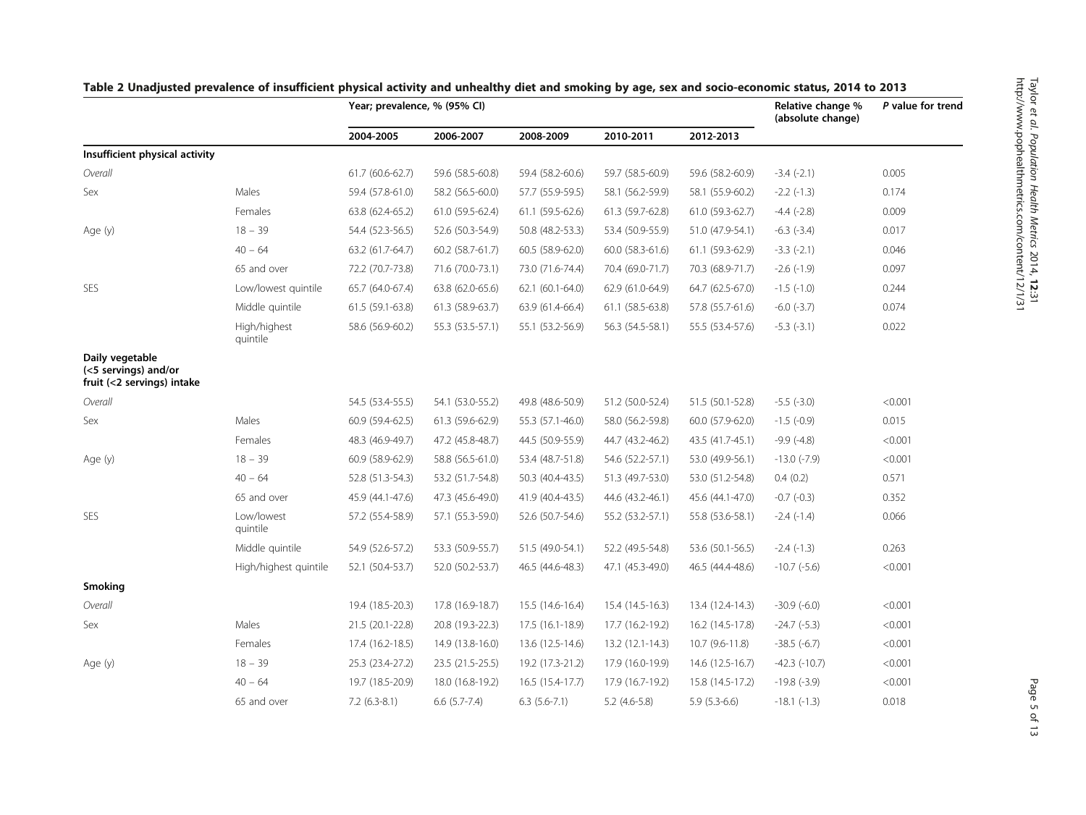|                                                                       |                          | Year; prevalence, % (95% CI) |                     |                  |                  |                  | Relative change %<br>(absolute change) | P value for trend |
|-----------------------------------------------------------------------|--------------------------|------------------------------|---------------------|------------------|------------------|------------------|----------------------------------------|-------------------|
|                                                                       |                          | 2004-2005                    | 2006-2007           | 2008-2009        | 2010-2011        | 2012-2013        |                                        |                   |
| Insufficient physical activity                                        |                          |                              |                     |                  |                  |                  |                                        |                   |
| Overall                                                               |                          | 61.7 (60.6-62.7)             | 59.6 (58.5-60.8)    | 59.4 (58.2-60.6) | 59.7 (58.5-60.9) | 59.6 (58.2-60.9) | $-3.4(-2.1)$                           | 0.005             |
| Sex                                                                   | Males                    | 59.4 (57.8-61.0)             | 58.2 (56.5-60.0)    | 57.7 (55.9-59.5) | 58.1 (56.2-59.9) | 58.1 (55.9-60.2) | $-2.2$ $(-1.3)$                        | 0.174             |
|                                                                       | Females                  | 63.8 (62.4-65.2)             | 61.0 (59.5-62.4)    | 61.1 (59.5-62.6) | 61.3 (59.7-62.8) | 61.0 (59.3-62.7) | $-4.4$ $(-2.8)$                        | 0.009             |
| Age (y)                                                               | $18 - 39$                | 54.4 (52.3-56.5)             | 52.6 (50.3-54.9)    | 50.8 (48.2-53.3) | 53.4 (50.9-55.9) | 51.0 (47.9-54.1) | $-6.3$ $(-3.4)$                        | 0.017             |
|                                                                       | $40 - 64$                | 63.2 (61.7-64.7)             | 60.2 (58.7-61.7)    | 60.5 (58.9-62.0) | 60.0 (58.3-61.6) | 61.1 (59.3-62.9) | $-3.3(-2.1)$                           | 0.046             |
|                                                                       | 65 and over              | 72.2 (70.7-73.8)             | 71.6 (70.0-73.1)    | 73.0 (71.6-74.4) | 70.4 (69.0-71.7) | 70.3 (68.9-71.7) | $-2.6$ $(-1.9)$                        | 0.097             |
| SES                                                                   | Low/lowest quintile      | 65.7 (64.0-67.4)             | 63.8 (62.0-65.6)    | 62.1 (60.1-64.0) | 62.9 (61.0-64.9) | 64.7 (62.5-67.0) | $-1.5$ $(-1.0)$                        | 0.244             |
|                                                                       | Middle quintile          | 61.5 (59.1-63.8)             | 61.3 (58.9-63.7)    | 63.9 (61.4-66.4) | 61.1 (58.5-63.8) | 57.8 (55.7-61.6) | $-6.0$ $(-3.7)$                        | 0.074             |
|                                                                       | High/highest<br>quintile | 58.6 (56.9-60.2)             | 55.3 (53.5-57.1)    | 55.1 (53.2-56.9) | 56.3 (54.5-58.1) | 55.5 (53.4-57.6) | $-5.3(-3.1)$                           | 0.022             |
| Daily vegetable<br>(<5 servings) and/or<br>fruit (<2 servings) intake |                          |                              |                     |                  |                  |                  |                                        |                   |
| Overall                                                               |                          | 54.5 (53.4-55.5)             | 54.1 (53.0-55.2)    | 49.8 (48.6-50.9) | 51.2 (50.0-52.4) | 51.5 (50.1-52.8) | $-5.5$ $(-3.0)$                        | < 0.001           |
| Sex                                                                   | Males                    | 60.9 (59.4-62.5)             | 61.3 (59.6-62.9)    | 55.3 (57.1-46.0) | 58.0 (56.2-59.8) | 60.0 (57.9-62.0) | $-1.5$ (-0.9)                          | 0.015             |
|                                                                       | Females                  | 48.3 (46.9-49.7)             | 47.2 (45.8-48.7)    | 44.5 (50.9-55.9) | 44.7 (43.2-46.2) | 43.5 (41.7-45.1) | $-9.9(-4.8)$                           | < 0.001           |
| Age (y)                                                               | $18 - 39$                | 60.9 (58.9-62.9)             | 58.8 (56.5-61.0)    | 53.4 (48.7-51.8) | 54.6 (52.2-57.1) | 53.0 (49.9-56.1) | $-13.0$ ( $-7.9$ )                     | < 0.001           |
|                                                                       | $40 - 64$                | 52.8 (51.3-54.3)             | 53.2 (51.7-54.8)    | 50.3 (40.4-43.5) | 51.3 (49.7-53.0) | 53.0 (51.2-54.8) | 0.4(0.2)                               | 0.571             |
|                                                                       | 65 and over              | 45.9 (44.1-47.6)             | 47.3 (45.6-49.0)    | 41.9 (40.4-43.5) | 44.6 (43.2-46.1) | 45.6 (44.1-47.0) | $-0.7$ $(-0.3)$                        | 0.352             |
| SES                                                                   | Low/lowest<br>quintile   | 57.2 (55.4-58.9)             | 57.1 (55.3-59.0)    | 52.6 (50.7-54.6) | 55.2 (53.2-57.1) | 55.8 (53.6-58.1) | $-2.4$ $(-1.4)$                        | 0.066             |
|                                                                       | Middle quintile          | 54.9 (52.6-57.2)             | 53.3 (50.9-55.7)    | 51.5 (49.0-54.1) | 52.2 (49.5-54.8) | 53.6 (50.1-56.5) | $-2.4$ $(-1.3)$                        | 0.263             |
|                                                                       | High/highest quintile    | 52.1 (50.4-53.7)             | 52.0 (50.2-53.7)    | 46.5 (44.6-48.3) | 47.1 (45.3-49.0) | 46.5 (44.4-48.6) | $-10.7$ ( $-5.6$ )                     | < 0.001           |
| Smoking                                                               |                          |                              |                     |                  |                  |                  |                                        |                   |
| Overall                                                               |                          | 19.4 (18.5-20.3)             | 17.8 (16.9-18.7)    | 15.5 (14.6-16.4) | 15.4 (14.5-16.3) | 13.4 (12.4-14.3) | $-30.9(-6.0)$                          | < 0.001           |
| Sex                                                                   | Males                    | 21.5 (20.1-22.8)             | 20.8 (19.3-22.3)    | 17.5 (16.1-18.9) | 17.7 (16.2-19.2) | 16.2 (14.5-17.8) | $-24.7$ $(-5.3)$                       | < 0.001           |
|                                                                       | Females                  | 17.4 (16.2-18.5)             | 14.9 (13.8-16.0)    | 13.6 (12.5-14.6) | 13.2 (12.1-14.3) | $10.7(9.6-11.8)$ | $-38.5(-6.7)$                          | < 0.001           |
| Age (y)                                                               | $18 - 39$                | 25.3 (23.4-27.2)             | 23.5 (21.5-25.5)    | 19.2 (17.3-21.2) | 17.9 (16.0-19.9) | 14.6 (12.5-16.7) | $-42.3$ $(-10.7)$                      | < 0.001           |
|                                                                       | $40 - 64$                | 19.7 (18.5-20.9)             | 18.0 (16.8-19.2)    | 16.5 (15.4-17.7) | 17.9 (16.7-19.2) | 15.8 (14.5-17.2) | $-19.8$ $(-3.9)$                       | < 0.001           |
|                                                                       | 65 and over              | $7.2(6.3-8.1)$               | $6.6$ $(5.7 - 7.4)$ | $6.3(5.6-7.1)$   | $5.2$ (4.6-5.8)  | $5.9(5.3-6.6)$   | $-18.1$ $(-1.3)$                       | 0.018             |

# <span id="page-4-0"></span>Table 2 Unadjusted prevalence of insufficient physical activity and unhealthy diet and smoking by age, sex and socio-economic status, 2014 to 2013 http://www.pophealthmetrics.com/content/12/1/31 $\frac{1}{\overline{d}}$  $\overline{\phantom{a}}$

Taylor

et al. Population Health Metrics

2014, <u>ีลี</u> ن<br>آ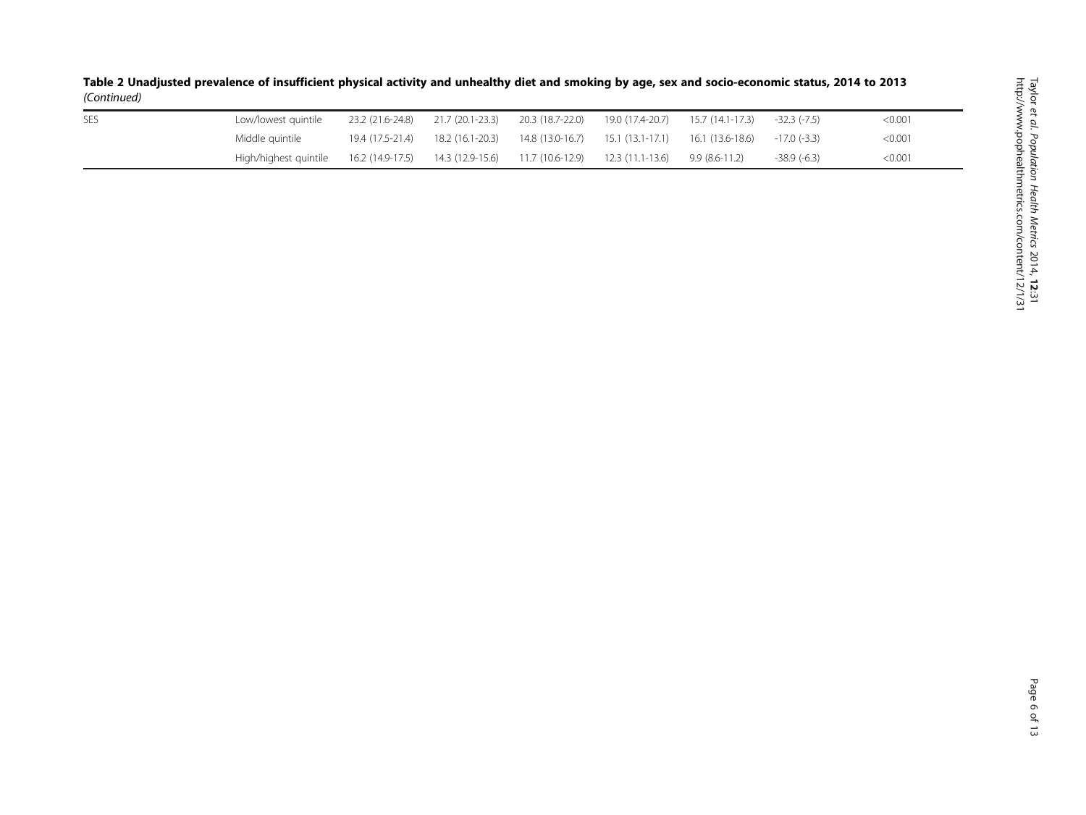| <b>SES</b> | Low/lowest guintile                                                                                      | 23.2 (21.6-24.8) 21.7 (20.1-23.3) |                                                                                      |  | -32.3 (-7.5)  | $<$ 0.001 |
|------------|----------------------------------------------------------------------------------------------------------|-----------------------------------|--------------------------------------------------------------------------------------|--|---------------|-----------|
|            | Middle quintile                                                                                          |                                   | 19.4 (17.5-21.4) 18.2 (16.1-20.3) 14.8 (13.0-16.7) 15.1 (13.1-17.1) 16.1 (13.6-18.6) |  | $-17.0(-3.3)$ | < 0.001   |
|            | High/highest quintile 16.2 (14.9-17.5) 14.3 (12.9-15.6) 11.7 (10.6-12.9) 12.3 (11.1-13.6) 9.9 (8.6-11.2) |                                   |                                                                                      |  | $-38.9(-6.3)$ | < 0.001   |

Table 2 Unadjusted prevalence of insufficient physical activity and unhealthy diet and smoking by age, sex and socio-economic status, 2014 to 2013 (Continued)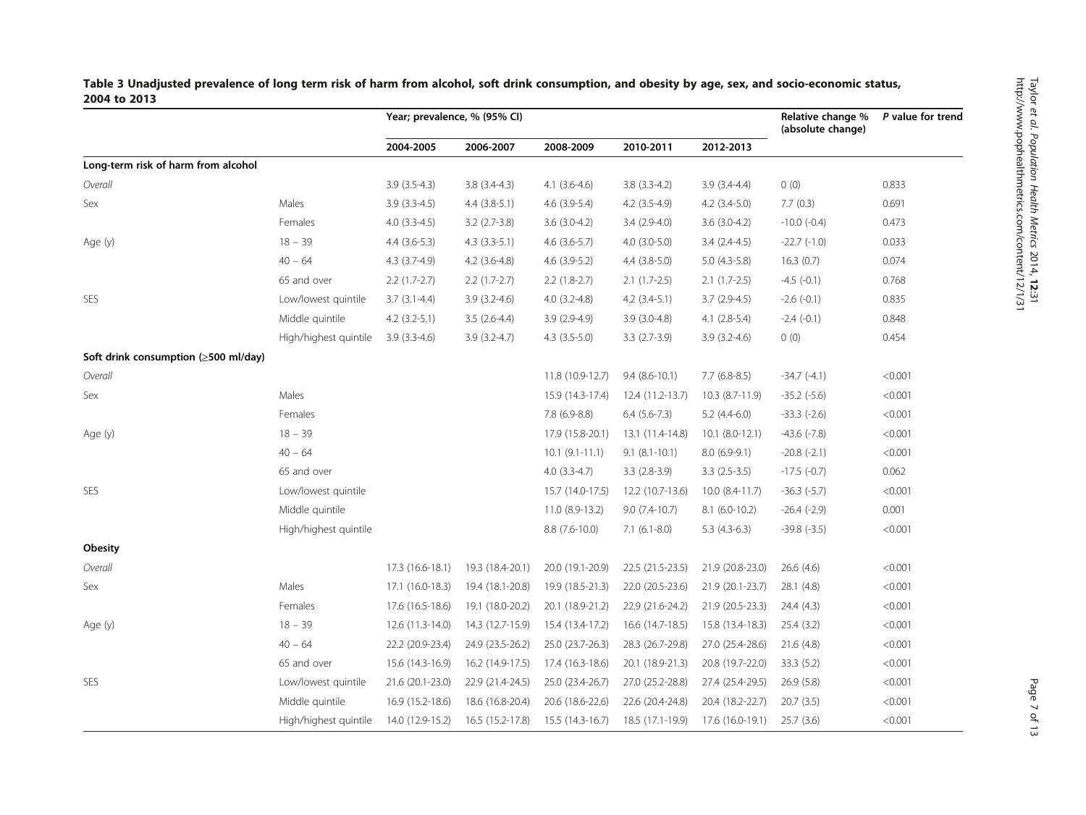|                                                    |                       | Year; prevalence, % (95% CI) |                  |                     |                    |                     | Relative change %<br>(absolute change) | P value for trend |
|----------------------------------------------------|-----------------------|------------------------------|------------------|---------------------|--------------------|---------------------|----------------------------------------|-------------------|
|                                                    |                       | 2004-2005                    | 2006-2007        | 2008-2009           | 2010-2011          | 2012-2013           |                                        |                   |
| Long-term risk of harm from alcohol                |                       |                              |                  |                     |                    |                     |                                        |                   |
| Overall                                            |                       | $3.9(3.5-4.3)$               | $3.8(3.4-4.3)$   | $4.1(3.6-4.6)$      | $3.8(3.3-4.2)$     | $3.9(3.4-4.4)$      | 0(0)                                   | 0.833             |
| Sex                                                | Males                 | $3.9(3.3-4.5)$               | $4.4$ (3.8-5.1)  | $4.6$ (3.9-5.4)     | $4.2$ $(3.5-4.9)$  | $4.2$ $(3.4-5.0)$   | 7.7(0.3)                               | 0.691             |
|                                                    | Females               | $4.0$ $(3.3-4.5)$            | $3.2$ (2.7-3.8)  | $3.6(3.0-4.2)$      | 3.4 (2.9-4.0)      | $3.6(3.0-4.2)$      | $-10.0$ $(-0.4)$                       | 0.473             |
| Age (y)                                            | $18 - 39$             | $4.4(3.6-5.3)$               | $4.3(3.3-5.1)$   | $4.6$ (3.6-5.7)     | $4.0$ $(3.0-5.0)$  | $3.4(2.4-4.5)$      | $-22.7$ $(-1.0)$                       | 0.033             |
|                                                    | $40 - 64$             | $4.3(3.7-4.9)$               | $4.2$ (3.6-4.8)  | $4.6$ (3.9-5.2)     | $4.4$ (3.8-5.0)    | $5.0(4.3-5.8)$      | 16.3(0.7)                              | 0.074             |
|                                                    | 65 and over           | $2.2(1.7-2.7)$               | $2.2(1.7-2.7)$   | $2.2(1.8-2.7)$      | $2.1(1.7-2.5)$     | $2.1(1.7-2.5)$      | $-4.5$ $(-0.1)$                        | 0.768             |
| <b>SES</b>                                         | Low/lowest quintile   | $3.7(3.1-4.4)$               | $3.9(3.2-4.6)$   | $4.0(3.2-4.8)$      | $4.2$ $(3.4-5.1)$  | $3.7(2.9-4.5)$      | $-2.6(-0.1)$                           | 0.835             |
|                                                    | Middle quintile       | $4.2$ (3.2-5.1)              | $3.5(2.6-4.4)$   | $3.9(2.9-4.9)$      | $3.9(3.0-4.8)$     | $4.1(2.8-5.4)$      | $-2.4(-0.1)$                           | 0.848             |
|                                                    | High/highest quintile | $3.9(3.3-4.6)$               | $3.9(3.2-4.7)$   | $4.3$ $(3.5-5.0)$   | $3.3(2.7-3.9)$     | $3.9(3.2-4.6)$      | 0(0)                                   | 0.454             |
| Soft drink consumption $(\geq 500 \text{ ml/day})$ |                       |                              |                  |                     |                    |                     |                                        |                   |
| Overall                                            |                       |                              |                  | 11.8 (10.9-12.7)    | $9.4(8.6-10.1)$    | $7.7(6.8-8.5)$      | $-34.7(-4.1)$                          | < 0.001           |
| Sex                                                | Males                 |                              |                  | 15.9 (14.3-17.4)    | 12.4 (11.2-13.7)   | 10.3 (8.7-11.9)     | $-35.2$ $(-5.6)$                       | < 0.001           |
|                                                    | Females               |                              |                  | $7.8(6.9-8.8)$      | $6.4(5.6-7.3)$     | $5.2(4.4-6.0)$      | $-33.3(-2.6)$                          | < 0.001           |
| Age (y)                                            | $18 - 39$             |                              |                  | 17.9 (15.8-20.1)    | 13.1 (11.4-14.8)   | $10.1 (8.0 - 12.1)$ | $-43.6(-7.8)$                          | < 0.001           |
|                                                    | $40 - 64$             |                              |                  | $10.1 (9.1 - 11.1)$ | $9.1 (8.1 - 10.1)$ | $8.0(6.9-9.1)$      | $-20.8$ $(-2.1)$                       | < 0.001           |
|                                                    | 65 and over           |                              |                  | $4.0(3.3-4.7)$      | $3.3(2.8-3.9)$     | $3.3$ $(2.5-3.5)$   | $-17.5$ ( $-0.7$ )                     | 0.062             |
| <b>SES</b>                                         | Low/lowest quintile   |                              |                  | 15.7 (14.0-17.5)    | 12.2 (10.7-13.6)   | 10.0 (8.4-11.7)     | $-36.3(-5.7)$                          | < 0.001           |
|                                                    | Middle quintile       |                              |                  | 11.0 (8.9-13.2)     | $9.0(7.4-10.7)$    | $8.1(6.0-10.2)$     | $-26.4(-2.9)$                          | 0.001             |
|                                                    | High/highest quintile |                              |                  | $8.8(7.6-10.0)$     | $7.1$ (6.1-8.0)    | $5.3(4.3-6.3)$      | $-39.8(-3.5)$                          | < 0.001           |
| Obesity                                            |                       |                              |                  |                     |                    |                     |                                        |                   |
| Overall                                            |                       | 17.3 (16.6-18.1)             | 19.3 (18.4-20.1) | 20.0 (19.1-20.9)    | 22.5 (21.5-23.5)   | 21.9 (20.8-23.0)    | 26.6(4.6)                              | < 0.001           |
| Sex                                                | Males                 | 17.1 (16.0-18.3)             | 19.4 (18.1-20.8) | 19.9 (18.5-21.3)    | 22.0 (20.5-23.6)   | 21.9 (20.1-23.7)    | 28.1(4.8)                              | < 0.001           |
|                                                    | Females               | 17.6 (16.5-18.6)             | 19.1 (18.0-20.2) | 20.1 (18.9-21.2)    | 22.9 (21.6-24.2)   | 21.9 (20.5-23.3)    | 24.4 (4.3)                             | < 0.001           |
| Age (y)                                            | $18 - 39$             | 12.6 (11.3-14.0)             | 14.3 (12.7-15.9) | 15.4 (13.4-17.2)    | 16.6 (14.7-18.5)   | 15.8 (13.4-18.3)    | 25.4(3.2)                              | < 0.001           |
|                                                    | $40 - 64$             | 22.2 (20.9-23.4)             | 24.9 (23.5-26.2) | 25.0 (23.7-26.3)    | 28.3 (26.7-29.8)   | 27.0 (25.4-28.6)    | 21.6(4.8)                              | < 0.001           |
|                                                    | 65 and over           | 15.6 (14.3-16.9)             | 16.2 (14.9-17.5) | 17.4 (16.3-18.6)    | 20.1 (18.9-21.3)   | 20.8 (19.7-22.0)    | 33.3(5.2)                              | < 0.001           |
| <b>SES</b>                                         | Low/lowest quintile   | 21.6 (20.1-23.0)             | 22.9 (21.4-24.5) | 25.0 (23.4-26.7)    | 27.0 (25.2-28.8)   | 27.4 (25.4-29.5)    | 26.9(5.8)                              | < 0.001           |
|                                                    | Middle quintile       | 16.9 (15.2-18.6)             | 18.6 (16.8-20.4) | 20.6 (18.6-22.6)    | 22.6 (20.4-24.8)   | 20.4 (18.2-22.7)    | 20.7(3.5)                              | < 0.001           |
|                                                    | High/highest quintile | 14.0 (12.9-15.2)             | 16.5 (15.2-17.8) | $15.5(14.3-16.7)$   | 18.5 (17.1-19.9)   | 17.6 (16.0-19.1)    | 25.7(3.6)                              | < 0.001           |

<span id="page-6-0"></span>Table 3 Unadjusted prevalence of long term risk of harm from alcohol, soft drink consumption, and obesity by age, sex, and socio-economic status, 2004 to 2013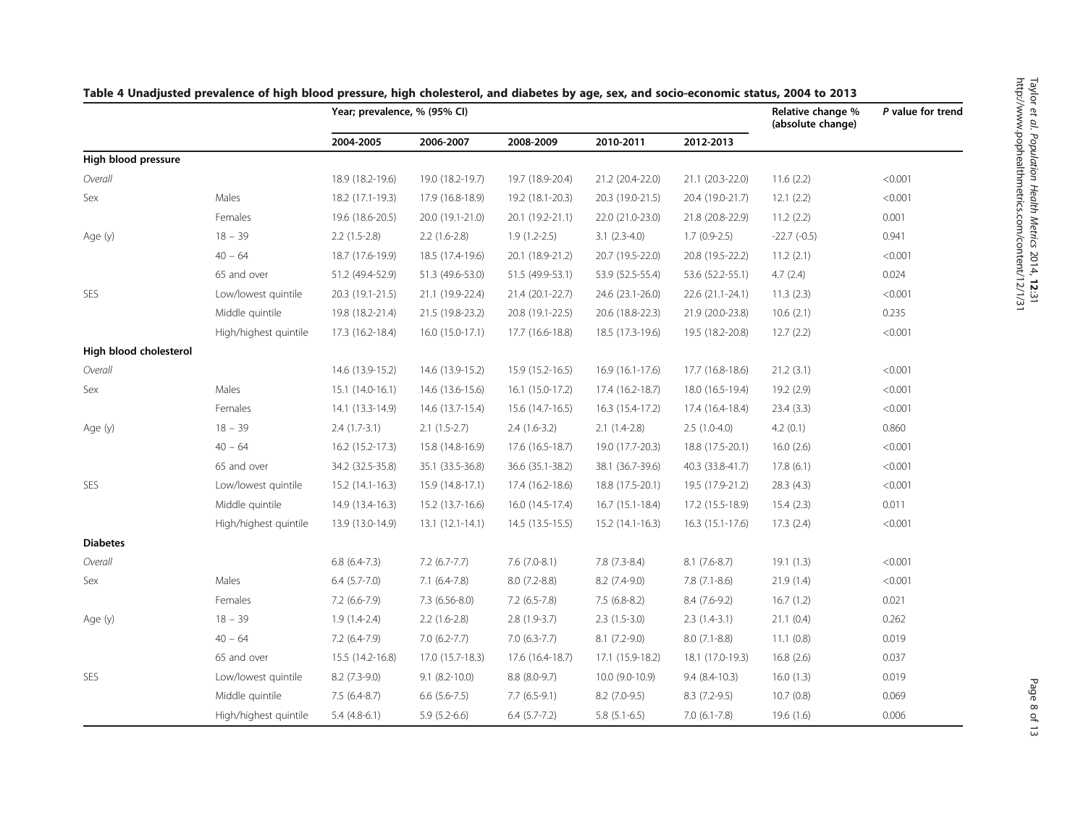|                        |                       |                     | Year; prevalence, % (95% CI) |                     |                   |                   |               | P value for trend |
|------------------------|-----------------------|---------------------|------------------------------|---------------------|-------------------|-------------------|---------------|-------------------|
|                        |                       | 2004-2005           | 2006-2007                    | 2008-2009           | 2010-2011         | 2012-2013         |               |                   |
| High blood pressure    |                       |                     |                              |                     |                   |                   |               |                   |
| Overall                |                       | 18.9 (18.2-19.6)    | 19.0 (18.2-19.7)             | 19.7 (18.9-20.4)    | 21.2 (20.4-22.0)  | 21.1 (20.3-22.0)  | 11.6(2.2)     | < 0.001           |
| Sex                    | Males                 | 18.2 (17.1-19.3)    | 17.9 (16.8-18.9)             | 19.2 (18.1-20.3)    | 20.3 (19.0-21.5)  | 20.4 (19.0-21.7)  | 12.1(2.2)     | < 0.001           |
|                        | Females               | 19.6 (18.6-20.5)    | 20.0 (19.1-21.0)             | 20.1 (19.2-21.1)    | 22.0 (21.0-23.0)  | 21.8 (20.8-22.9)  | 11.2(2.2)     | 0.001             |
| Age (y)                | $18 - 39$             | $2.2(1.5-2.8)$      | $2.2(1.6-2.8)$               | $1.9(1.2-2.5)$      | $3.1(2.3-4.0)$    | $1.7(0.9-2.5)$    | $-22.7(-0.5)$ | 0.941             |
|                        | $40 - 64$             | 18.7 (17.6-19.9)    | 18.5 (17.4-19.6)             | 20.1 (18.9-21.2)    | 20.7 (19.5-22.0)  | 20.8 (19.5-22.2)  | 11.2(2.1)     | < 0.001           |
|                        | 65 and over           | 51.2 (49.4-52.9)    | 51.3 (49.6-53.0)             | 51.5 (49.9-53.1)    | 53.9 (52.5-55.4)  | 53.6 (52.2-55.1)  | 4.7(2.4)      | 0.024             |
| SES                    | Low/lowest quintile   | 20.3 (19.1-21.5)    | 21.1 (19.9-22.4)             | 21.4 (20.1-22.7)    | 24.6 (23.1-26.0)  | 22.6 (21.1-24.1)  | 11.3(2.3)     | < 0.001           |
|                        | Middle quintile       | 19.8 (18.2-21.4)    | 21.5 (19.8-23.2)             | 20.8 (19.1-22.5)    | 20.6 (18.8-22.3)  | 21.9 (20.0-23.8)  | 10.6(2.1)     | 0.235             |
|                        | High/highest quintile | 17.3 (16.2-18.4)    | $16.0(15.0-17.1)$            | 17.7 (16.6-18.8)    | 18.5 (17.3-19.6)  | 19.5 (18.2-20.8)  | 12.7(2.2)     | < 0.001           |
| High blood cholesterol |                       |                     |                              |                     |                   |                   |               |                   |
| Overall                |                       | 14.6 (13.9-15.2)    | 14.6 (13.9-15.2)             | 15.9 (15.2-16.5)    | 16.9 (16.1-17.6)  | 17.7 (16.8-18.6)  | 21.2(3.1)     | < 0.001           |
| Sex                    | Males                 | 15.1 (14.0-16.1)    | 14.6 (13.6-15.6)             | 16.1 (15.0-17.2)    | 17.4 (16.2-18.7)  | 18.0 (16.5-19.4)  | 19.2 (2.9)    | < 0.001           |
|                        | Females               | 14.1 (13.3-14.9)    | 14.6 (13.7-15.4)             | 15.6 (14.7-16.5)    | 16.3 (15.4-17.2)  | 17.4 (16.4-18.4)  | 23.4(3.3)     | < 0.001           |
| Age (y)                | $18 - 39$             | $2.4(1.7-3.1)$      | $2.1(1.5-2.7)$               | $2.4(1.6-3.2)$      | $2.1(1.4-2.8)$    | $2.5(1.0-4.0)$    | 4.2(0.1)      | 0.860             |
|                        | $40 - 64$             | 16.2 (15.2-17.3)    | 15.8 (14.8-16.9)             | 17.6 (16.5-18.7)    | 19.0 (17.7-20.3)  | 18.8 (17.5-20.1)  | 16.0(2.6)     | < 0.001           |
|                        | 65 and over           | 34.2 (32.5-35.8)    | 35.1 (33.5-36.8)             | 36.6 (35.1-38.2)    | 38.1 (36.7-39.6)  | 40.3 (33.8-41.7)  | 17.8(6.1)     | < 0.001           |
| SES                    | Low/lowest quintile   | $15.2(14.1-16.3)$   | 15.9 (14.8-17.1)             | 17.4 (16.2-18.6)    | 18.8 (17.5-20.1)  | 19.5 (17.9-21.2)  | 28.3(4.3)     | < 0.001           |
|                        | Middle quintile       | 14.9 (13.4-16.3)    | 15.2 (13.7-16.6)             | 16.0 (14.5-17.4)    | $16.7(15.1-18.4)$ | 17.2 (15.5-18.9)  | 15.4(2.3)     | 0.011             |
|                        | High/highest quintile | 13.9 (13.0-14.9)    | $13.1(12.1-14.1)$            | $14.5(13.5-15.5)$   | $15.2(14.1-16.3)$ | $16.3(15.1-17.6)$ | 17.3(2.4)     | < 0.001           |
| <b>Diabetes</b>        |                       |                     |                              |                     |                   |                   |               |                   |
| Overall                |                       | $6.8(6.4-7.3)$      | $7.2$ (6.7-7.7)              | $7.6(7.0-8.1)$      | $7.8(7.3-8.4)$    | $8.1(7.6-8.7)$    | 19.1(1.3)     | < 0.001           |
| Sex                    | Males                 | $6.4$ $(5.7 - 7.0)$ | $7.1(6.4-7.8)$               | $8.0(7.2-8.8)$      | 8.2 (7.4-9.0)     | $7.8(7.1-8.6)$    | 21.9(1.4)     | < 0.001           |
|                        | Females               | $7.2(6.6-7.9)$      | $7.3(6.56-8.0)$              | $7.2(6.5-7.8)$      | $7.5(6.8-8.2)$    | $8.4(7.6-9.2)$    | 16.7(1.2)     | 0.021             |
| Age (y)                | $18 - 39$             | $1.9(1.4-2.4)$      | $2.2(1.6-2.8)$               | $2.8(1.9-3.7)$      | $2.3(1.5-3.0)$    | $2.3(1.4-3.1)$    | 21.1(0.4)     | 0.262             |
|                        | $40 - 64$             | $7.2(6.4-7.9)$      | $7.0(6.2-7.7)$               | $7.0(6.3-7.7)$      | $8.1(7.2-9.0)$    | $8.0(7.1-8.8)$    | 11.1(0.8)     | 0.019             |
|                        | 65 and over           | 15.5 (14.2-16.8)    | 17.0 (15.7-18.3)             | 17.6 (16.4-18.7)    | 17.1 (15.9-18.2)  | 18.1 (17.0-19.3)  | 16.8(2.6)     | 0.037             |
| SES                    | Low/lowest quintile   | 8.2 (7.3-9.0)       | $9.1 (8.2 - 10.0)$           | 8.8 (8.0-9.7)       | 10.0 (9.0-10.9)   | $9.4(8.4-10.3)$   | 16.0(1.3)     | 0.019             |
|                        | Middle quintile       | $7.5(6.4-8.7)$      | $6.6$ $(5.6-7.5)$            | $7.7(6.5-9.1)$      | $8.2$ (7.0-9.5)   | $8.3(7.2-9.5)$    | 10.7(0.8)     | 0.069             |
|                        | High/highest quintile | $5.4(4.8-6.1)$      | $5.9(5.2-6.6)$               | $6.4$ $(5.7 - 7.2)$ | $5.8(5.1-6.5)$    | $7.0$ (6.1-7.8)   | 19.6(1.6)     | 0.006             |

## <span id="page-7-0"></span>Table 4 Unadjusted prevalence of high blood pressure, high cholesterol, and diabetes by age, sex, and socio-economic status, 2004 to 2013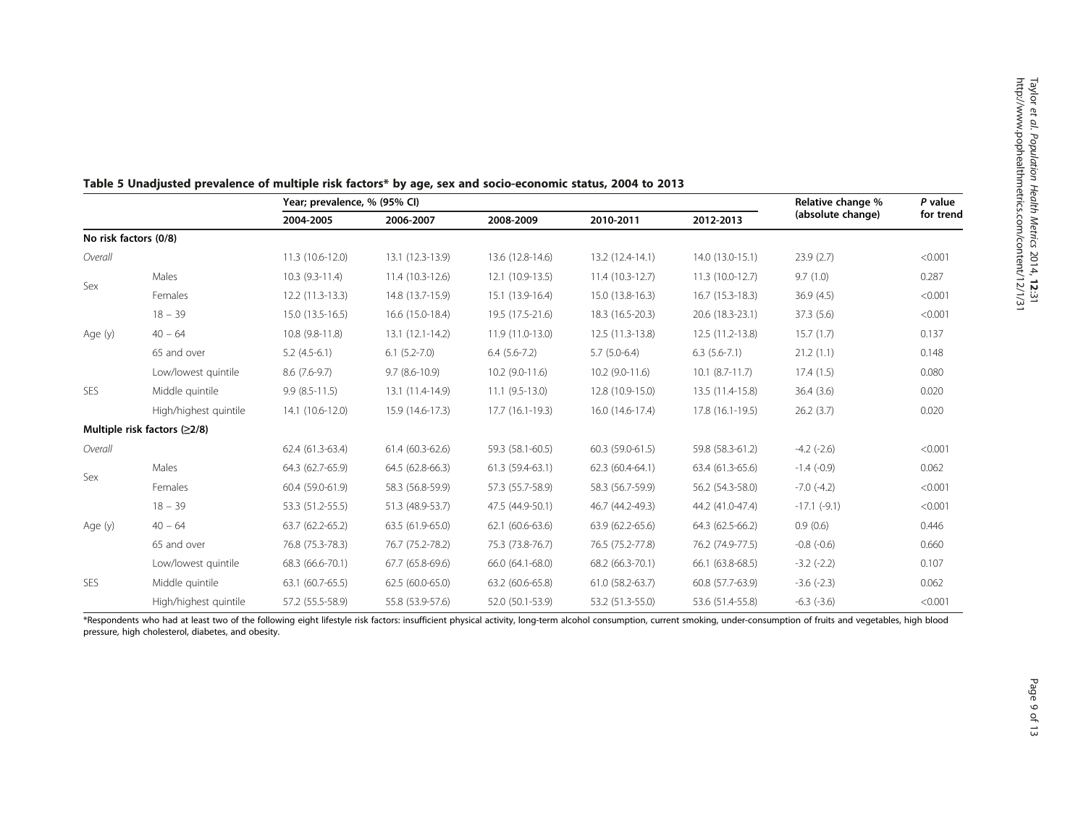|                       |                                | Year; prevalence, % (95% CI) |                     |                   |                   |                     | Relative change % | P value   |
|-----------------------|--------------------------------|------------------------------|---------------------|-------------------|-------------------|---------------------|-------------------|-----------|
|                       |                                | 2004-2005                    | 2006-2007           | 2008-2009         | 2010-2011         | 2012-2013           | (absolute change) | for trend |
| No risk factors (0/8) |                                |                              |                     |                   |                   |                     |                   |           |
| Overall               |                                | 11.3 (10.6-12.0)             | 13.1 (12.3-13.9)    | 13.6 (12.8-14.6)  | 13.2 (12.4-14.1)  | 14.0 (13.0-15.1)    | 23.9(2.7)         | < 0.001   |
|                       | Males                          | $10.3(9.3-11.4)$             | 11.4 (10.3-12.6)    | 12.1 (10.9-13.5)  | $11.4(10.3-12.7)$ | 11.3 (10.0-12.7)    | 9.7(1.0)          | 0.287     |
| Sex                   | Females                        | $12.2(11.3-13.3)$            | 14.8 (13.7-15.9)    | 15.1 (13.9-16.4)  | 15.0 (13.8-16.3)  | 16.7 (15.3-18.3)    | 36.9(4.5)         | < 0.001   |
|                       | $18 - 39$                      | 15.0 (13.5-16.5)             | 16.6 (15.0-18.4)    | 19.5 (17.5-21.6)  | 18.3 (16.5-20.3)  | 20.6 (18.3-23.1)    | 37.3 (5.6)        | < 0.001   |
| Age (y)               | $40 - 64$                      | 10.8 (9.8-11.8)              | $13.1(12.1-14.2)$   | 11.9 (11.0-13.0)  | 12.5 (11.3-13.8)  | 12.5 (11.2-13.8)    | 15.7(1.7)         | 0.137     |
|                       | 65 and over                    | $5.2(4.5-6.1)$               | $6.1$ $(5.2 - 7.0)$ | $6.4(5.6-7.2)$    | $5.7(5.0-6.4)$    | $6.3(5.6-7.1)$      | 21.2(1.1)         | 0.148     |
|                       | Low/lowest quintile            | $8.6(7.6-9.7)$               | $9.7(8.6-10.9)$     | $10.2$ (9.0-11.6) | $10.2$ (9.0-11.6) | $10.1 (8.7 - 11.7)$ | 17.4(1.5)         | 0.080     |
| SES                   | Middle quintile                | $9.9(8.5-11.5)$              | 13.1 (11.4-14.9)    | $11.1(9.5-13.0)$  | 12.8 (10.9-15.0)  | 13.5 (11.4-15.8)    | 36.4(3.6)         | 0.020     |
|                       | High/highest quintile          | 14.1 (10.6-12.0)             | 15.9 (14.6-17.3)    | 17.7 (16.1-19.3)  | 16.0 (14.6-17.4)  | 17.8 (16.1-19.5)    | 26.2(3.7)         | 0.020     |
|                       | Multiple risk factors $(≥2/8)$ |                              |                     |                   |                   |                     |                   |           |
| Overall               |                                | 62.4 (61.3-63.4)             | 61.4 (60.3-62.6)    | 59.3 (58.1-60.5)  | 60.3 (59.0-61.5)  | 59.8 (58.3-61.2)    | $-4.2$ $(-2.6)$   | < 0.001   |
|                       | Males                          | 64.3 (62.7-65.9)             | 64.5 (62.8-66.3)    | 61.3 (59.4-63.1)  | $62.3(60.4-64.1)$ | 63.4 (61.3-65.6)    | $-1.4$ ( $-0.9$ ) | 0.062     |
| Sex                   | Females                        | 60.4 (59.0-61.9)             | 58.3 (56.8-59.9)    | 57.3 (55.7-58.9)  | 58.3 (56.7-59.9)  | 56.2 (54.3-58.0)    | $-7.0$ $(-4.2)$   | < 0.001   |
|                       | $18 - 39$                      | 53.3 (51.2-55.5)             | 51.3 (48.9-53.7)    | 47.5 (44.9-50.1)  | 46.7 (44.2-49.3)  | 44.2 (41.0-47.4)    | $-17.1$ $(-9.1)$  | < 0.001   |
| Age (y)               | $40 - 64$                      | 63.7 (62.2-65.2)             | 63.5 (61.9-65.0)    | 62.1 (60.6-63.6)  | 63.9 (62.2-65.6)  | 64.3 (62.5-66.2)    | 0.9(0.6)          | 0.446     |
|                       | 65 and over                    | 76.8 (75.3-78.3)             | 76.7 (75.2-78.2)    | 75.3 (73.8-76.7)  | 76.5 (75.2-77.8)  | 76.2 (74.9-77.5)    | $-0.8$ $(-0.6)$   | 0.660     |
|                       | Low/lowest quintile            | 68.3 (66.6-70.1)             | 67.7 (65.8-69.6)    | 66.0 (64.1-68.0)  | 68.2 (66.3-70.1)  | 66.1 (63.8-68.5)    | $-3.2$ $(-2.2)$   | 0.107     |
| <b>SES</b>            | Middle quintile                | 63.1 (60.7-65.5)             | 62.5 (60.0-65.0)    | 63.2 (60.6-65.8)  | 61.0 (58.2-63.7)  | 60.8 (57.7-63.9)    | $-3.6(-2.3)$      | 0.062     |
|                       | High/highest quintile          | 57.2 (55.5-58.9)             | 55.8 (53.9-57.6)    | 52.0 (50.1-53.9)  | 53.2 (51.3-55.0)  | 53.6 (51.4-55.8)    | $-6.3$ $(-3.6)$   | < 0.001   |

# <span id="page-8-0"></span>Table 5 Unadjusted prevalence of multiple risk factors\* by age, sex and socio-economic status, 2004 to 2013

\*Respondents who had at least two of the following eight lifestyle risk factors: insufficient physical activity, long-term alcohol consumption, current smoking, under-consumption of fruits and vegetables, high blood pressure, high cholesterol, diabetes, and obesity.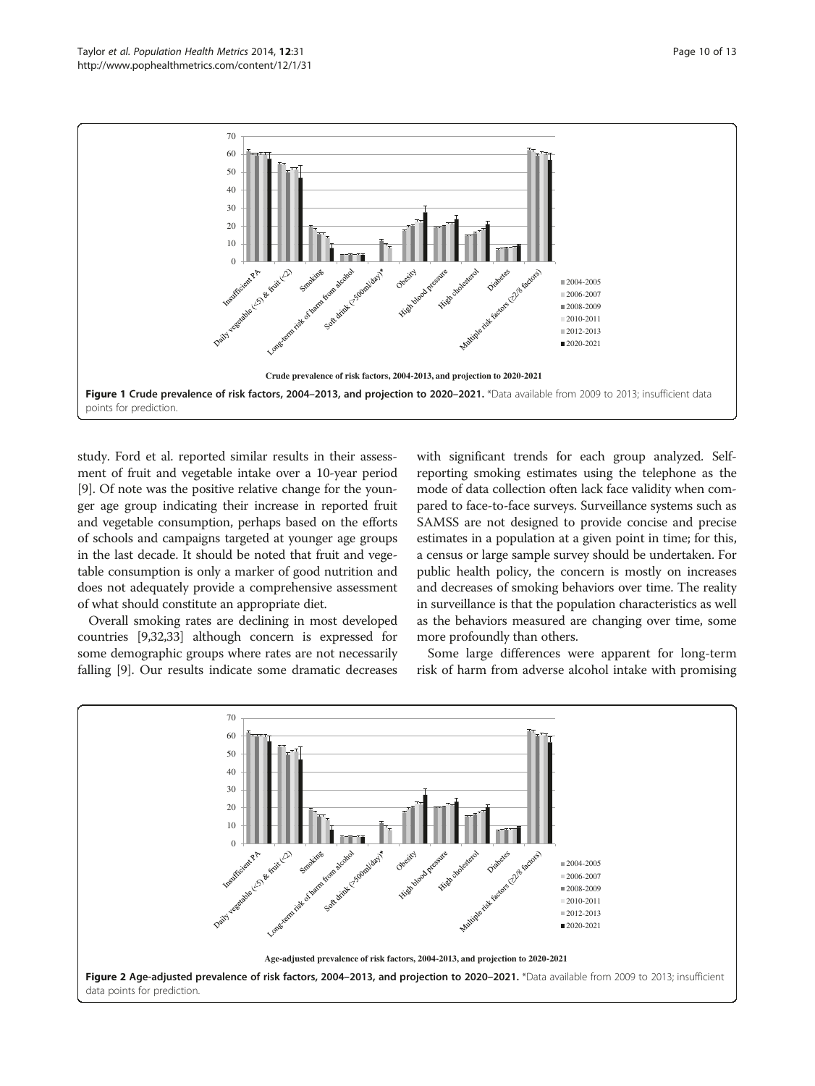<span id="page-9-0"></span>

study. Ford et al. reported similar results in their assessment of fruit and vegetable intake over a 10-year period [[9\]](#page-11-0). Of note was the positive relative change for the younger age group indicating their increase in reported fruit and vegetable consumption, perhaps based on the efforts of schools and campaigns targeted at younger age groups in the last decade. It should be noted that fruit and vegetable consumption is only a marker of good nutrition and does not adequately provide a comprehensive assessment of what should constitute an appropriate diet.

Overall smoking rates are declining in most developed countries [\[9](#page-11-0)[,32,33](#page-12-0)] although concern is expressed for some demographic groups where rates are not necessarily falling [\[9](#page-11-0)]. Our results indicate some dramatic decreases

with significant trends for each group analyzed. Selfreporting smoking estimates using the telephone as the mode of data collection often lack face validity when compared to face-to-face surveys. Surveillance systems such as SAMSS are not designed to provide concise and precise estimates in a population at a given point in time; for this, a census or large sample survey should be undertaken. For public health policy, the concern is mostly on increases and decreases of smoking behaviors over time. The reality in surveillance is that the population characteristics as well as the behaviors measured are changing over time, some more profoundly than others.

Some large differences were apparent for long-term risk of harm from adverse alcohol intake with promising

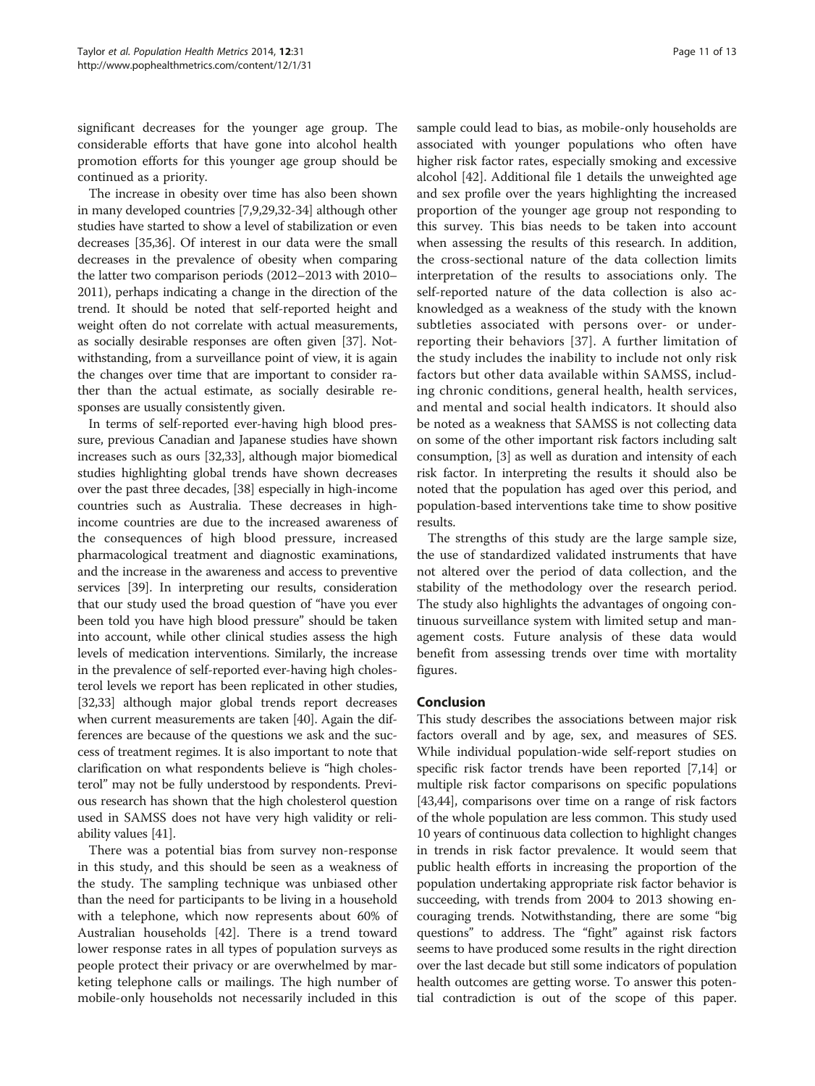significant decreases for the younger age group. The considerable efforts that have gone into alcohol health promotion efforts for this younger age group should be continued as a priority.

The increase in obesity over time has also been shown in many developed countries [[7,9,29,](#page-11-0)[32-34\]](#page-12-0) although other studies have started to show a level of stabilization or even decreases [[35,36\]](#page-12-0). Of interest in our data were the small decreases in the prevalence of obesity when comparing the latter two comparison periods (2012–2013 with 2010– 2011), perhaps indicating a change in the direction of the trend. It should be noted that self-reported height and weight often do not correlate with actual measurements, as socially desirable responses are often given [[37\]](#page-12-0). Notwithstanding, from a surveillance point of view, it is again the changes over time that are important to consider rather than the actual estimate, as socially desirable responses are usually consistently given.

In terms of self-reported ever-having high blood pressure, previous Canadian and Japanese studies have shown increases such as ours [[32,33\]](#page-12-0), although major biomedical studies highlighting global trends have shown decreases over the past three decades, [\[38](#page-12-0)] especially in high-income countries such as Australia. These decreases in highincome countries are due to the increased awareness of the consequences of high blood pressure, increased pharmacological treatment and diagnostic examinations, and the increase in the awareness and access to preventive services [\[39\]](#page-12-0). In interpreting our results, consideration that our study used the broad question of "have you ever been told you have high blood pressure" should be taken into account, while other clinical studies assess the high levels of medication interventions. Similarly, the increase in the prevalence of self-reported ever-having high cholesterol levels we report has been replicated in other studies, [[32,33](#page-12-0)] although major global trends report decreases when current measurements are taken [\[40\]](#page-12-0). Again the differences are because of the questions we ask and the success of treatment regimes. It is also important to note that clarification on what respondents believe is "high cholesterol" may not be fully understood by respondents. Previous research has shown that the high cholesterol question used in SAMSS does not have very high validity or reliability values [[41](#page-12-0)].

There was a potential bias from survey non-response in this study, and this should be seen as a weakness of the study. The sampling technique was unbiased other than the need for participants to be living in a household with a telephone, which now represents about 60% of Australian households [\[42\]](#page-12-0). There is a trend toward lower response rates in all types of population surveys as people protect their privacy or are overwhelmed by marketing telephone calls or mailings. The high number of mobile-only households not necessarily included in this

sample could lead to bias, as mobile-only households are associated with younger populations who often have higher risk factor rates, especially smoking and excessive alcohol [[42](#page-12-0)]. Additional file [1](#page-11-0) details the unweighted age and sex profile over the years highlighting the increased proportion of the younger age group not responding to this survey. This bias needs to be taken into account when assessing the results of this research. In addition, the cross-sectional nature of the data collection limits interpretation of the results to associations only. The self-reported nature of the data collection is also acknowledged as a weakness of the study with the known subtleties associated with persons over- or underreporting their behaviors [[37](#page-12-0)]. A further limitation of the study includes the inability to include not only risk factors but other data available within SAMSS, including chronic conditions, general health, health services, and mental and social health indicators. It should also be noted as a weakness that SAMSS is not collecting data on some of the other important risk factors including salt consumption, [[3](#page-11-0)] as well as duration and intensity of each risk factor. In interpreting the results it should also be noted that the population has aged over this period, and population-based interventions take time to show positive results.

The strengths of this study are the large sample size, the use of standardized validated instruments that have not altered over the period of data collection, and the stability of the methodology over the research period. The study also highlights the advantages of ongoing continuous surveillance system with limited setup and management costs. Future analysis of these data would benefit from assessing trends over time with mortality figures.

# Conclusion

This study describes the associations between major risk factors overall and by age, sex, and measures of SES. While individual population-wide self-report studies on specific risk factor trends have been reported [\[7,14\]](#page-11-0) or multiple risk factor comparisons on specific populations [[43](#page-12-0),[44](#page-12-0)], comparisons over time on a range of risk factors of the whole population are less common. This study used 10 years of continuous data collection to highlight changes in trends in risk factor prevalence. It would seem that public health efforts in increasing the proportion of the population undertaking appropriate risk factor behavior is succeeding, with trends from 2004 to 2013 showing encouraging trends. Notwithstanding, there are some "big questions" to address. The "fight" against risk factors seems to have produced some results in the right direction over the last decade but still some indicators of population health outcomes are getting worse. To answer this potential contradiction is out of the scope of this paper.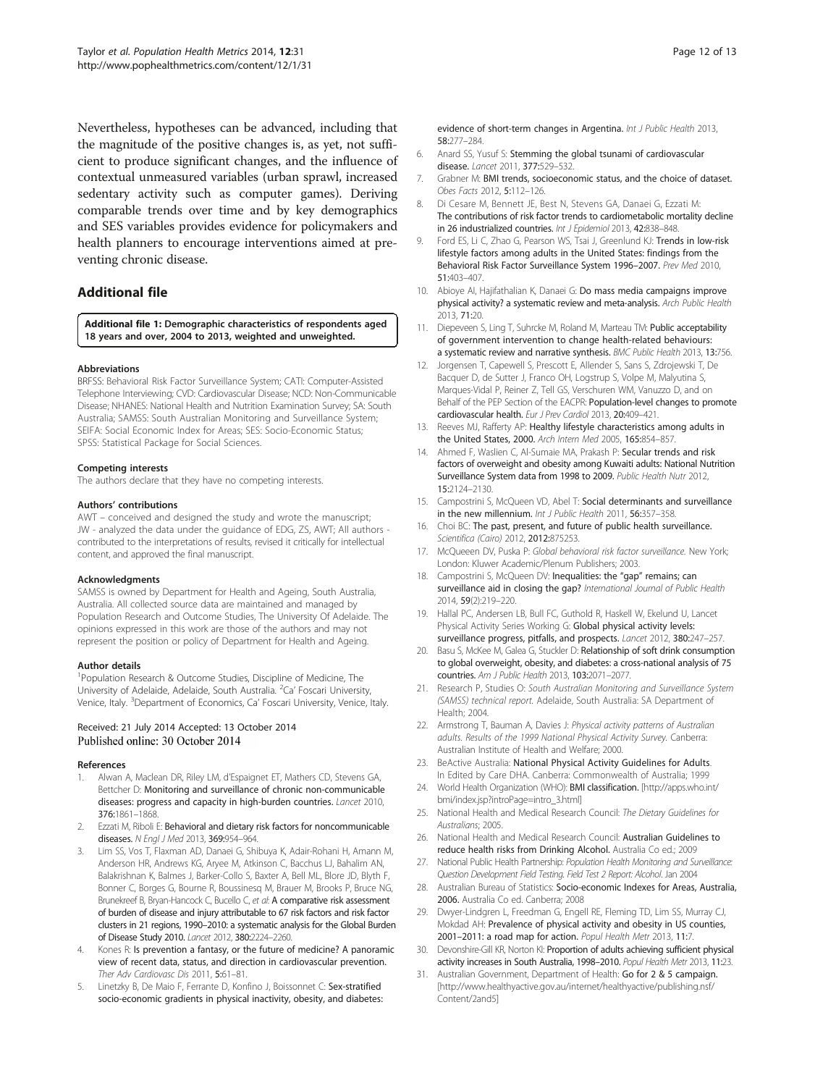<span id="page-11-0"></span>Nevertheless, hypotheses can be advanced, including that the magnitude of the positive changes is, as yet, not sufficient to produce significant changes, and the influence of contextual unmeasured variables (urban sprawl, increased sedentary activity such as computer games). Deriving comparable trends over time and by key demographics and SES variables provides evidence for policymakers and health planners to encourage interventions aimed at preventing chronic disease.

# Additional file

[Additional file 1:](http://www.pophealthmetrics.com/content/supplementary/s12963-014-0031-z-s1.docx) Demographic characteristics of respondents aged 18 years and over, 2004 to 2013, weighted and unweighted.

#### Abbreviations

BRFSS: Behavioral Risk Factor Surveillance System; CATI: Computer-Assisted Telephone Interviewing; CVD: Cardiovascular Disease; NCD: Non-Communicable Disease; NHANES: National Health and Nutrition Examination Survey; SA: South Australia; SAMSS: South Australian Monitoring and Surveillance System; SEIFA: Social Economic Index for Areas; SES: Socio-Economic Status; SPSS: Statistical Package for Social Sciences.

#### Competing interests

The authors declare that they have no competing interests.

#### Authors' contributions

AWT – conceived and designed the study and wrote the manuscript; JW - analyzed the data under the guidance of EDG, ZS, AWT; All authors contributed to the interpretations of results, revised it critically for intellectual content, and approved the final manuscript.

#### Acknowledgments

SAMSS is owned by Department for Health and Ageing, South Australia, Australia. All collected source data are maintained and managed by Population Research and Outcome Studies, The University Of Adelaide. The opinions expressed in this work are those of the authors and may not represent the position or policy of Department for Health and Ageing.

#### Author details

<sup>1</sup>Population Research & Outcome Studies, Discipline of Medicine, The University of Adelaide, Adelaide, South Australia. <sup>2</sup>Ca' Foscari University, Venice, Italy. <sup>3</sup>Department of Economics, Ca' Foscari University, Venice, Italy.

#### Received: 21 July 2014 Accepted: 13 October 2014 Published online: 30 October 2014

#### References

- 1. Alwan A, Maclean DR, Riley LM, d'Espaignet ET, Mathers CD, Stevens GA, Bettcher D: Monitoring and surveillance of chronic non-communicable diseases: progress and capacity in high-burden countries. Lancet 2010, 376:1861–1868.
- 2. Ezzati M, Riboli E: Behavioral and dietary risk factors for noncommunicable diseases. N Engl J Med 2013, 369:954-964.
- Lim SS, Vos T, Flaxman AD, Danaei G, Shibuya K, Adair-Rohani H, Amann M, Anderson HR, Andrews KG, Aryee M, Atkinson C, Bacchus LJ, Bahalim AN, Balakrishnan K, Balmes J, Barker-Collo S, Baxter A, Bell ML, Blore JD, Blyth F, Bonner C, Borges G, Bourne R, Boussinesq M, Brauer M, Brooks P, Bruce NG, Brunekreef B, Bryan-Hancock C, Bucello C, et al: A comparative risk assessment of burden of disease and injury attributable to 67 risk factors and risk factor clusters in 21 regions, 1990–2010: a systematic analysis for the Global Burden of Disease Study 2010. Lancet 2012, 380:2224–2260.
- Kones R: Is prevention a fantasy, or the future of medicine? A panoramic view of recent data, status, and direction in cardiovascular prevention. Ther Adv Cardiovasc Dis 2011, 5:61–81.
- 5. Linetzky B, De Maio F, Ferrante D, Konfino J, Boissonnet C: Sex-stratified socio-economic gradients in physical inactivity, obesity, and diabetes:

evidence of short-term changes in Argentina. Int J Public Health 2013, 58:277–284.

- 6. Anard SS, Yusuf S: Stemming the global tsunami of cardiovascular disease. Lancet 2011, 377:529–532.
- 7. Grabner M: BMI trends, socioeconomic status, and the choice of dataset. Obes Facts 2012, 5:112–126.
- 8. Di Cesare M, Bennett JE, Best N, Stevens GA, Danaei G, Ezzati M: The contributions of risk factor trends to cardiometabolic mortality decline in 26 industrialized countries. Int J Epidemiol 2013, 42:838-848.
- 9. Ford ES, Li C, Zhao G, Pearson WS, Tsai J, Greenlund KJ: Trends in low-risk lifestyle factors among adults in the United States: findings from the Behavioral Risk Factor Surveillance System 1996–2007. Prev Med 2010, 51:403–407.
- 10. Abioye AI, Hajifathalian K, Danaei G: Do mass media campaigns improve physical activity? a systematic review and meta-analysis. Arch Public Health 2013, 71:20.
- 11. Diepeveen S, Ling T, Suhrcke M, Roland M, Marteau TM: Public acceptability of government intervention to change health-related behaviours: a systematic review and narrative synthesis. BMC Public Health 2013, 13:756.
- 12. Jorgensen T, Capewell S, Prescott E, Allender S, Sans S, Zdrojewski T, De Bacquer D, de Sutter J, Franco OH, Logstrup S, Volpe M, Malyutina S, Marques-Vidal P, Reiner Z, Tell GS, Verschuren WM, Vanuzzo D, and on Behalf of the PEP Section of the EACPR: Population-level changes to promote cardiovascular health. Eur J Prev Cardiol 2013, 20:409–421.
- 13. Reeves MJ, Rafferty AP: Healthy lifestyle characteristics among adults in the United States, 2000. Arch Intern Med 2005, 165:854–857.
- 14. Ahmed F, Waslien C, Al-Sumaie MA, Prakash P: Secular trends and risk factors of overweight and obesity among Kuwaiti adults: National Nutrition Surveillance System data from 1998 to 2009. Public Health Nutr 2012, 15:2124–2130.
- 15. Campostrini S, McQueen VD, Abel T: Social determinants and surveillance in the new millennium. Int J Public Health 2011, 56:357–358.
- 16. Choi BC: The past, present, and future of public health surveillance. Scientifica (Cairo) 2012, 2012:875253.
- 17. McQueeen DV, Puska P: Global behavioral risk factor surveillance. New York; London: Kluwer Academic/Plenum Publishers; 2003.
- 18. Campostrini S, McQueen DV: Inequalities: the "gap" remains; can surveillance aid in closing the gap? International Journal of Public Health 2014, 59(2):219–220.
- 19. Hallal PC, Andersen LB, Bull FC, Guthold R, Haskell W, Ekelund U, Lancet Physical Activity Series Working G: Global physical activity levels: surveillance progress, pitfalls, and prospects. Lancet 2012, 380:247–257.
- 20. Basu S, McKee M, Galea G, Stuckler D: Relationship of soft drink consumption to global overweight, obesity, and diabetes: a cross-national analysis of 75 countries. Am J Public Health 2013, 103:2071–2077.
- 21. Research P, Studies O: South Australian Monitoring and Surveillance System (SAMSS) technical report. Adelaide, South Australia: SA Department of Health; 2004.
- 22. Armstrong T, Bauman A, Davies J: Physical activity patterns of Australian adults. Results of the 1999 National Physical Activity Survey. Canberra: Australian Institute of Health and Welfare; 2000.
- 23. BeActive Australia: National Physical Activity Guidelines for Adults. In Edited by Care DHA. Canberra: Commonwealth of Australia; 1999
- 24. World Health Organization (WHO): BMI classification. [[http://apps.who.int/](http://apps.who.int/bmi/index.jsp?introPage=intro_3.html) [bmi/index.jsp?introPage=intro\\_3.html\]](http://apps.who.int/bmi/index.jsp?introPage=intro_3.html)
- 25. National Health and Medical Research Council: The Dietary Guidelines for Australians; 2005.
- 26. National Health and Medical Research Council: Australian Guidelines to reduce health risks from Drinking Alcohol. Australia Co ed.; 2009
- 27. National Public Health Partnership: Population Health Monitoring and Surveillance: Question Development Field Testing. Field Test 2 Report: Alcohol. Jan 2004
- 28. Australian Bureau of Statistics: Socio-economic Indexes for Areas, Australia, 2006. Australia Co ed. Canberra; 2008
- 29. Dwyer-Lindgren L, Freedman G, Engell RE, Fleming TD, Lim SS, Murray CJ, Mokdad AH: Prevalence of physical activity and obesity in US counties, 2001–2011: a road map for action. Popul Health Metr 2013, 11:7.
- 30. Devonshire-Gill KR, Norton KI: Proportion of adults achieving sufficient physical activity increases in South Australia, 1998-2010. Popul Health Metr 2013, 11:23.
- 31. Australian Government, Department of Health: Go for 2 & 5 campaign. [[http://www.healthyactive.gov.au/internet/healthyactive/publishing.nsf/](http://www.healthyactive.gov.au/internet/healthyactive/publishing.nsf/Content/2and5) [Content/2and5\]](http://www.healthyactive.gov.au/internet/healthyactive/publishing.nsf/Content/2and5)